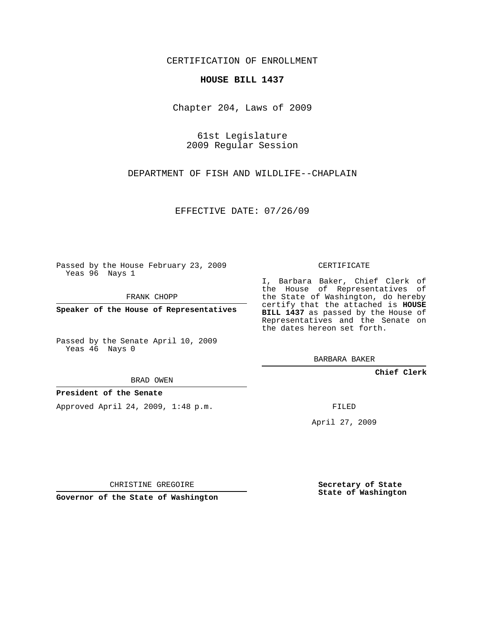### CERTIFICATION OF ENROLLMENT

#### **HOUSE BILL 1437**

Chapter 204, Laws of 2009

61st Legislature 2009 Regular Session

DEPARTMENT OF FISH AND WILDLIFE--CHAPLAIN

EFFECTIVE DATE: 07/26/09

Passed by the House February 23, 2009 Yeas 96 Nays 1

FRANK CHOPP

**Speaker of the House of Representatives**

Passed by the Senate April 10, 2009 Yeas 46 Nays 0

BRAD OWEN

### **President of the Senate**

Approved April 24, 2009, 1:48 p.m.

CERTIFICATE

I, Barbara Baker, Chief Clerk of the House of Representatives of the State of Washington, do hereby certify that the attached is **HOUSE BILL 1437** as passed by the House of Representatives and the Senate on the dates hereon set forth.

BARBARA BAKER

**Chief Clerk**

FILED

April 27, 2009

CHRISTINE GREGOIRE

**Governor of the State of Washington**

**Secretary of State State of Washington**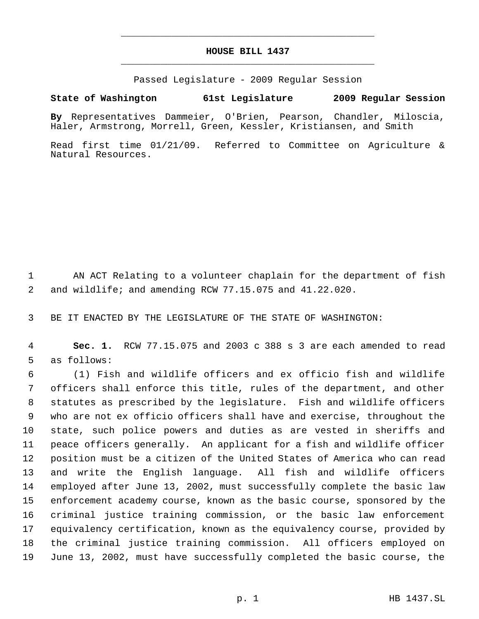# **HOUSE BILL 1437** \_\_\_\_\_\_\_\_\_\_\_\_\_\_\_\_\_\_\_\_\_\_\_\_\_\_\_\_\_\_\_\_\_\_\_\_\_\_\_\_\_\_\_\_\_

\_\_\_\_\_\_\_\_\_\_\_\_\_\_\_\_\_\_\_\_\_\_\_\_\_\_\_\_\_\_\_\_\_\_\_\_\_\_\_\_\_\_\_\_\_

Passed Legislature - 2009 Regular Session

## **State of Washington 61st Legislature 2009 Regular Session**

**By** Representatives Dammeier, O'Brien, Pearson, Chandler, Miloscia, Haler, Armstrong, Morrell, Green, Kessler, Kristiansen, and Smith

Read first time 01/21/09. Referred to Committee on Agriculture & Natural Resources.

 AN ACT Relating to a volunteer chaplain for the department of fish and wildlife; and amending RCW 77.15.075 and 41.22.020.

BE IT ENACTED BY THE LEGISLATURE OF THE STATE OF WASHINGTON:

 **Sec. 1.** RCW 77.15.075 and 2003 c 388 s 3 are each amended to read as follows:

 (1) Fish and wildlife officers and ex officio fish and wildlife officers shall enforce this title, rules of the department, and other statutes as prescribed by the legislature. Fish and wildlife officers who are not ex officio officers shall have and exercise, throughout the state, such police powers and duties as are vested in sheriffs and peace officers generally. An applicant for a fish and wildlife officer position must be a citizen of the United States of America who can read and write the English language. All fish and wildlife officers employed after June 13, 2002, must successfully complete the basic law enforcement academy course, known as the basic course, sponsored by the criminal justice training commission, or the basic law enforcement equivalency certification, known as the equivalency course, provided by the criminal justice training commission. All officers employed on June 13, 2002, must have successfully completed the basic course, the